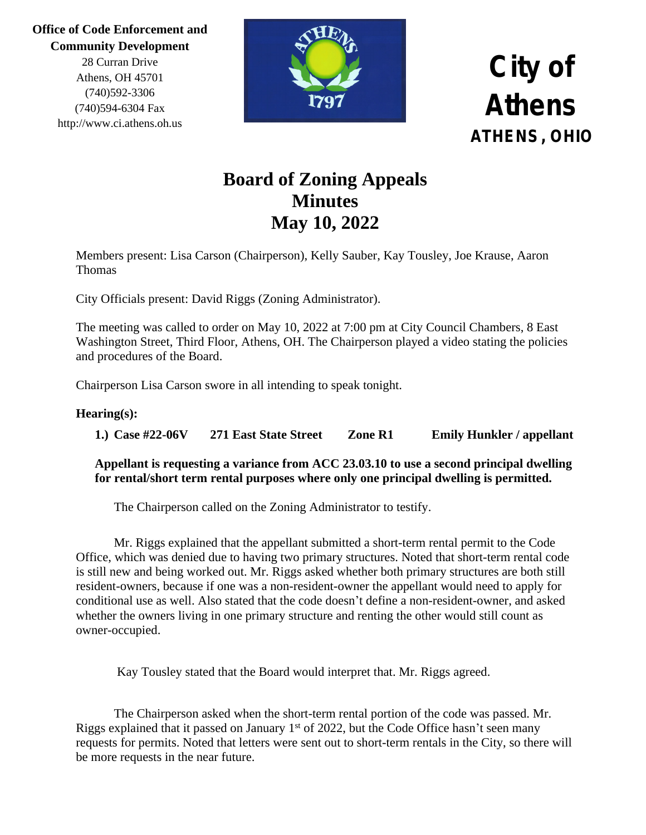> 28 Curran Drive Athens, OH 45701 (740)592-3306 (740)594-6304 Fax http://www.ci.athens.oh.us



### **City of Athens ATHENS, OHIO**

### **Board of Zoning Appeals Minutes May 10, 2022**

Members present: Lisa Carson (Chairperson), Kelly Sauber, Kay Tousley, Joe Krause, Aaron Thomas

City Officials present: David Riggs (Zoning Administrator).

The meeting was called to order on May 10, 2022 at 7:00 pm at City Council Chambers, 8 East Washington Street, Third Floor, Athens, OH. The Chairperson played a video stating the policies and procedures of the Board.

Chairperson Lisa Carson swore in all intending to speak tonight.

#### **Hearing(s):**

**1.) Case #22-06V 271 East State Street Zone R1 Emily Hunkler / appellant**

**Appellant is requesting a variance from ACC 23.03.10 to use a second principal dwelling for rental/short term rental purposes where only one principal dwelling is permitted.**

The Chairperson called on the Zoning Administrator to testify.

Mr. Riggs explained that the appellant submitted a short-term rental permit to the Code Office, which was denied due to having two primary structures. Noted that short-term rental code is still new and being worked out. Mr. Riggs asked whether both primary structures are both still resident-owners, because if one was a non-resident-owner the appellant would need to apply for conditional use as well. Also stated that the code doesn't define a non-resident-owner, and asked whether the owners living in one primary structure and renting the other would still count as owner-occupied.

Kay Tousley stated that the Board would interpret that. Mr. Riggs agreed.

The Chairperson asked when the short-term rental portion of the code was passed. Mr. Riggs explained that it passed on January  $1<sup>st</sup>$  of 2022, but the Code Office hasn't seen many requests for permits. Noted that letters were sent out to short-term rentals in the City, so there will be more requests in the near future.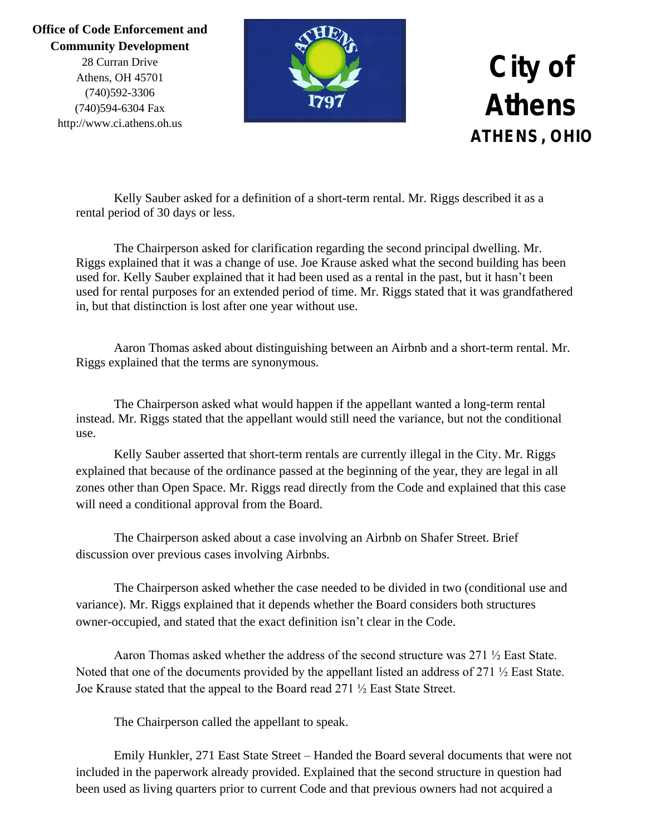28 Curran Drive Athens, OH 45701 (740)592-3306 (740)594-6304 Fax http://www.ci.athens.oh.us



### **City of Athens ATHENS, OHIO**

Kelly Sauber asked for a definition of a short-term rental. Mr. Riggs described it as a rental period of 30 days or less.

The Chairperson asked for clarification regarding the second principal dwelling. Mr. Riggs explained that it was a change of use. Joe Krause asked what the second building has been used for. Kelly Sauber explained that it had been used as a rental in the past, but it hasn't been used for rental purposes for an extended period of time. Mr. Riggs stated that it was grandfathered in, but that distinction is lost after one year without use.

Aaron Thomas asked about distinguishing between an Airbnb and a short-term rental. Mr. Riggs explained that the terms are synonymous.

The Chairperson asked what would happen if the appellant wanted a long-term rental instead. Mr. Riggs stated that the appellant would still need the variance, but not the conditional use.

Kelly Sauber asserted that short-term rentals are currently illegal in the City. Mr. Riggs explained that because of the ordinance passed at the beginning of the year, they are legal in all zones other than Open Space. Mr. Riggs read directly from the Code and explained that this case will need a conditional approval from the Board.

The Chairperson asked about a case involving an Airbnb on Shafer Street. Brief discussion over previous cases involving Airbnbs.

The Chairperson asked whether the case needed to be divided in two (conditional use and variance). Mr. Riggs explained that it depends whether the Board considers both structures owner-occupied, and stated that the exact definition isn't clear in the Code.

Aaron Thomas asked whether the address of the second structure was 271 ½ East State. Noted that one of the documents provided by the appellant listed an address of 271 ½ East State. Joe Krause stated that the appeal to the Board read 271 ½ East State Street.

The Chairperson called the appellant to speak.

Emily Hunkler, 271 East State Street – Handed the Board several documents that were not included in the paperwork already provided. Explained that the second structure in question had been used as living quarters prior to current Code and that previous owners had not acquired a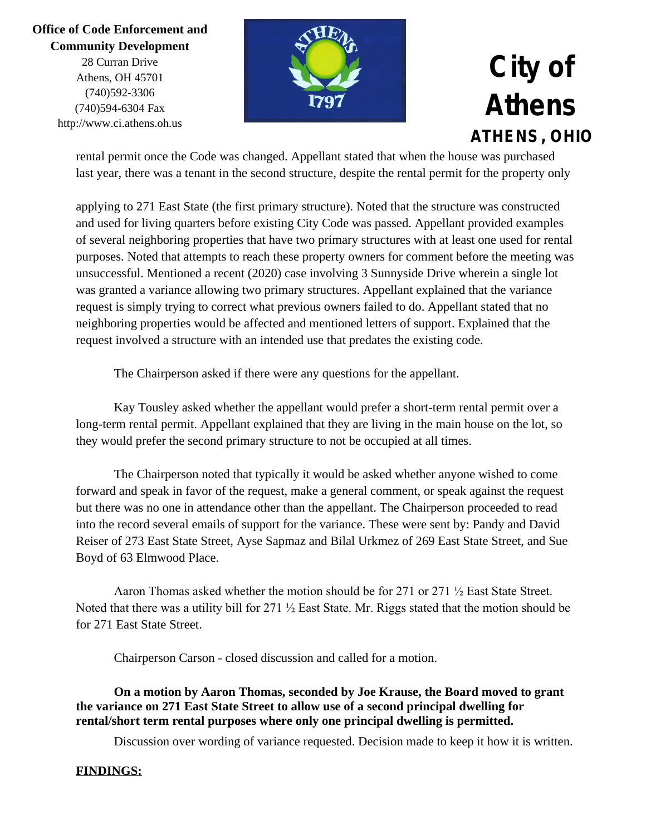28 Curran Drive Athens, OH 45701 (740)592-3306 (740)594-6304 Fax http://www.ci.athens.oh.us



## **City of Athens ATHENS, OHIO**

rental permit once the Code was changed. Appellant stated that when the house was purchased last year, there was a tenant in the second structure, despite the rental permit for the property only

applying to 271 East State (the first primary structure). Noted that the structure was constructed and used for living quarters before existing City Code was passed. Appellant provided examples of several neighboring properties that have two primary structures with at least one used for rental purposes. Noted that attempts to reach these property owners for comment before the meeting was unsuccessful. Mentioned a recent (2020) case involving 3 Sunnyside Drive wherein a single lot was granted a variance allowing two primary structures. Appellant explained that the variance request is simply trying to correct what previous owners failed to do. Appellant stated that no neighboring properties would be affected and mentioned letters of support. Explained that the request involved a structure with an intended use that predates the existing code.

The Chairperson asked if there were any questions for the appellant.

Kay Tousley asked whether the appellant would prefer a short-term rental permit over a long-term rental permit. Appellant explained that they are living in the main house on the lot, so they would prefer the second primary structure to not be occupied at all times.

The Chairperson noted that typically it would be asked whether anyone wished to come forward and speak in favor of the request, make a general comment, or speak against the request but there was no one in attendance other than the appellant. The Chairperson proceeded to read into the record several emails of support for the variance. These were sent by: Pandy and David Reiser of 273 East State Street, Ayse Sapmaz and Bilal Urkmez of 269 East State Street, and Sue Boyd of 63 Elmwood Place.

Aaron Thomas asked whether the motion should be for 271 or 271 ½ East State Street. Noted that there was a utility bill for 271 ½ East State. Mr. Riggs stated that the motion should be for 271 East State Street.

Chairperson Carson - closed discussion and called for a motion.

**On a motion by Aaron Thomas, seconded by Joe Krause, the Board moved to grant the variance on 271 East State Street to allow use of a second principal dwelling for rental/short term rental purposes where only one principal dwelling is permitted.**

Discussion over wording of variance requested. Decision made to keep it how it is written.

#### **FINDINGS:**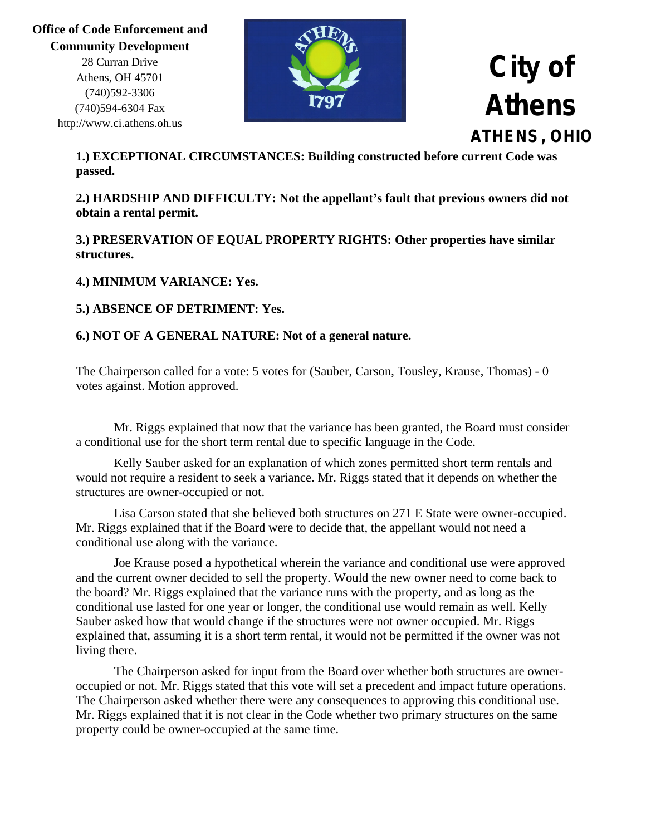**Office of Code Enforcement and Community Development** 28 Curran Drive Athens, OH 45701 (740)592-3306 (740)594-6304 Fax http://www.ci.athens.oh.us



### **City of Athens ATHENS, OHIO**

**1.) EXCEPTIONAL CIRCUMSTANCES: Building constructed before current Code was passed.**

**2.) HARDSHIP AND DIFFICULTY: Not the appellant's fault that previous owners did not obtain a rental permit.**

**3.) PRESERVATION OF EQUAL PROPERTY RIGHTS: Other properties have similar structures.**

#### **4.) MINIMUM VARIANCE: Yes.**

#### **5.) ABSENCE OF DETRIMENT: Yes.**

#### **6.) NOT OF A GENERAL NATURE: Not of a general nature.**

The Chairperson called for a vote: 5 votes for (Sauber, Carson, Tousley, Krause, Thomas) - 0 votes against. Motion approved.

Mr. Riggs explained that now that the variance has been granted, the Board must consider a conditional use for the short term rental due to specific language in the Code.

Kelly Sauber asked for an explanation of which zones permitted short term rentals and would not require a resident to seek a variance. Mr. Riggs stated that it depends on whether the structures are owner-occupied or not.

Lisa Carson stated that she believed both structures on 271 E State were owner-occupied. Mr. Riggs explained that if the Board were to decide that, the appellant would not need a conditional use along with the variance.

Joe Krause posed a hypothetical wherein the variance and conditional use were approved and the current owner decided to sell the property. Would the new owner need to come back to the board? Mr. Riggs explained that the variance runs with the property, and as long as the conditional use lasted for one year or longer, the conditional use would remain as well. Kelly Sauber asked how that would change if the structures were not owner occupied. Mr. Riggs explained that, assuming it is a short term rental, it would not be permitted if the owner was not living there.

The Chairperson asked for input from the Board over whether both structures are owneroccupied or not. Mr. Riggs stated that this vote will set a precedent and impact future operations. The Chairperson asked whether there were any consequences to approving this conditional use. Mr. Riggs explained that it is not clear in the Code whether two primary structures on the same property could be owner-occupied at the same time.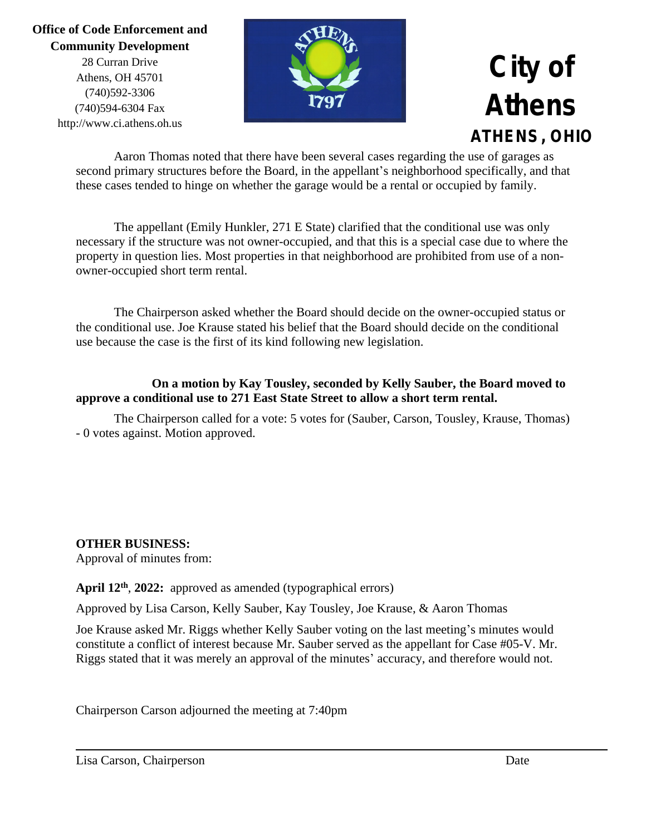28 Curran Drive Athens, OH 45701 (740)592-3306 (740)594-6304 Fax http://www.ci.athens.oh.us



# **City of Athens ATHENS, OHIO**

Aaron Thomas noted that there have been several cases regarding the use of garages as second primary structures before the Board, in the appellant's neighborhood specifically, and that these cases tended to hinge on whether the garage would be a rental or occupied by family.

The appellant (Emily Hunkler, 271 E State) clarified that the conditional use was only necessary if the structure was not owner-occupied, and that this is a special case due to where the property in question lies. Most properties in that neighborhood are prohibited from use of a nonowner-occupied short term rental.

The Chairperson asked whether the Board should decide on the owner-occupied status or the conditional use. Joe Krause stated his belief that the Board should decide on the conditional use because the case is the first of its kind following new legislation.

#### **On a motion by Kay Tousley, seconded by Kelly Sauber, the Board moved to approve a conditional use to 271 East State Street to allow a short term rental.**

The Chairperson called for a vote: 5 votes for (Sauber, Carson, Tousley, Krause, Thomas) - 0 votes against. Motion approved.

#### **OTHER BUSINESS:**

Approval of minutes from:

#### **April 12th** , **2022:** approved as amended (typographical errors)

Approved by Lisa Carson, Kelly Sauber, Kay Tousley, Joe Krause, & Aaron Thomas

Joe Krause asked Mr. Riggs whether Kelly Sauber voting on the last meeting's minutes would constitute a conflict of interest because Mr. Sauber served as the appellant for Case #05-V. Mr. Riggs stated that it was merely an approval of the minutes' accuracy, and therefore would not.

Chairperson Carson adjourned the meeting at 7:40pm